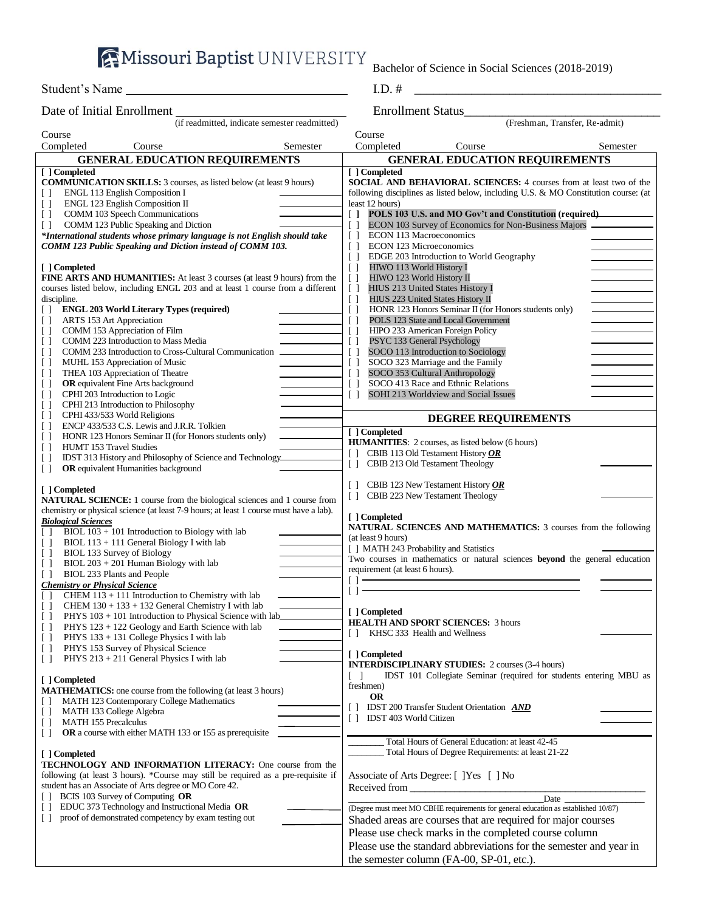**AMissouri Baptist UNIVERSITY** 

Bachelor of Science in Social Sciences (2018-2019)

Student's Name

Date of Initial Enrollment Enrollment Status\_\_\_\_\_\_\_\_\_\_\_\_\_\_\_\_\_\_\_\_\_\_\_\_\_\_\_\_\_\_\_ (if readmitted, indicate semester readmitted)

| Course                                                                                                               |                                               | Course                                                                                                                                                                                                                        |          |
|----------------------------------------------------------------------------------------------------------------------|-----------------------------------------------|-------------------------------------------------------------------------------------------------------------------------------------------------------------------------------------------------------------------------------|----------|
| Completed<br>Course                                                                                                  | Semester                                      | Completed<br>Course                                                                                                                                                                                                           | Semester |
| <b>GENERAL EDUCATION REQUIREMENTS</b>                                                                                |                                               | <b>GENERAL EDUCATION REQUIREMENTS</b>                                                                                                                                                                                         |          |
| [ ] Completed                                                                                                        |                                               | [ ] Completed                                                                                                                                                                                                                 |          |
| <b>COMMUNICATION SKILLS:</b> 3 courses, as listed below (at least 9 hours)                                           |                                               | SOCIAL AND BEHAVIORAL SCIENCES: 4 courses from at least two of the                                                                                                                                                            |          |
| <b>ENGL 113 English Composition I</b><br>$\Box$                                                                      |                                               | following disciplines as listed below, including U.S. & MO Constitution course: (at                                                                                                                                           |          |
| <b>ENGL 123 English Composition II</b><br>$\Box$                                                                     |                                               | least 12 hours)                                                                                                                                                                                                               |          |
| COMM 103 Speech Communications<br>$\Box$                                                                             | $\begin{bmatrix} 1 \end{bmatrix}$             | POLS 103 U.S. and MO Gov't and Constitution (required)                                                                                                                                                                        |          |
| COMM 123 Public Speaking and Diction<br>$\Box$                                                                       | $\Box$                                        | ECON 103 Survey of Economics for Non-Business Majors                                                                                                                                                                          |          |
| *International students whose primary language is not English should take                                            | $\Box$                                        | ECON 113 Macroeconomics                                                                                                                                                                                                       |          |
| COMM 123 Public Speaking and Diction instead of COMM 103.                                                            | $\Box$                                        | ECON 123 Microeconomics                                                                                                                                                                                                       |          |
|                                                                                                                      | $\Box$                                        | EDGE 203 Introduction to World Geography                                                                                                                                                                                      |          |
| [ ] Completed                                                                                                        | $\Box$                                        | HIWO 113 World History I                                                                                                                                                                                                      |          |
| <b>FINE ARTS AND HUMANITIES:</b> At least 3 courses (at least 9 hours) from the                                      | $\Box$                                        | HIWO 123 World History II                                                                                                                                                                                                     |          |
| courses listed below, including ENGL 203 and at least 1 course from a different                                      | $\begin{bmatrix} \end{bmatrix}$               | HIUS 213 United States History I                                                                                                                                                                                              |          |
| discipline.                                                                                                          | $\Box$                                        | HIUS 223 United States History II                                                                                                                                                                                             |          |
| <b>ENGL 203 World Literary Types (required)</b><br>$\Box$                                                            | $\Box$                                        | HONR 123 Honors Seminar II (for Honors students only)                                                                                                                                                                         |          |
| ARTS 153 Art Appreciation<br>$\Box$                                                                                  | $\left[ \begin{array}{c} \end{array} \right]$ | POLS 123 State and Local Government                                                                                                                                                                                           |          |
| $\Box$<br>COMM 153 Appreciation of Film                                                                              | $\Box$                                        | HIPO 233 American Foreign Policy                                                                                                                                                                                              |          |
| COMM 223 Introduction to Mass Media<br>$\Box$                                                                        | $\Box$                                        | PSYC 133 General Psychology                                                                                                                                                                                                   |          |
| COMM 233 Introduction to Cross-Cultural Communication<br>$\Box$                                                      | $\Box$                                        | SOCO 113 Introduction to Sociology                                                                                                                                                                                            |          |
| MUHL 153 Appreciation of Music<br>$\Box$                                                                             | $\Box$                                        | SOCO 323 Marriage and the Family                                                                                                                                                                                              |          |
| THEA 103 Appreciation of Theatre<br>$\begin{array}{c} \square \end{array}$                                           | $\Box$                                        | SOCO 353 Cultural Anthropology                                                                                                                                                                                                |          |
| <b>OR</b> equivalent Fine Arts background<br>$\Box$                                                                  | $\Box$                                        | SOCO 413 Race and Ethnic Relations                                                                                                                                                                                            |          |
| CPHI 203 Introduction to Logic<br>$\Box$                                                                             | $\Box$                                        | SOHI 213 Worldview and Social Issues                                                                                                                                                                                          |          |
| CPHI 213 Introduction to Philosophy<br>$\Box$                                                                        |                                               |                                                                                                                                                                                                                               |          |
| CPHI 433/533 World Religions<br>$\begin{array}{c} \square \end{array}$                                               |                                               |                                                                                                                                                                                                                               |          |
| ENCP 433/533 C.S. Lewis and J.R.R. Tolkien<br>$\Box$                                                                 |                                               | <b>DEGREE REQUIREMENTS</b>                                                                                                                                                                                                    |          |
| HONR 123 Honors Seminar II (for Honors students only)<br>$\begin{array}{c} \square \end{array}$                      |                                               | [ ] Completed                                                                                                                                                                                                                 |          |
| <b>HUMT 153 Travel Studies</b><br>$\Box$                                                                             |                                               | <b>HUMANITIES:</b> 2 courses, as listed below (6 hours)                                                                                                                                                                       |          |
| IDST 313 History and Philosophy of Science and Technology<br>$\begin{array}{c} \square \end{array}$                  | $\Box$                                        | CBIB 113 Old Testament History $OR$                                                                                                                                                                                           |          |
| OR equivalent Humanities background<br>$\begin{array}{c} \square \end{array}$                                        | $\Box$                                        | CBIB 213 Old Testament Theology                                                                                                                                                                                               |          |
|                                                                                                                      |                                               |                                                                                                                                                                                                                               |          |
| [ ] Completed                                                                                                        | $\Box$                                        | CBIB 123 New Testament History $OR$                                                                                                                                                                                           |          |
| <b>NATURAL SCIENCE:</b> 1 course from the biological sciences and 1 course from                                      | $\Box$                                        | CBIB 223 New Testament Theology                                                                                                                                                                                               |          |
|                                                                                                                      |                                               |                                                                                                                                                                                                                               |          |
|                                                                                                                      |                                               |                                                                                                                                                                                                                               |          |
| chemistry or physical science (at least 7-9 hours; at least 1 course must have a lab).<br><b>Biological Sciences</b> |                                               | [ ] Completed                                                                                                                                                                                                                 |          |
| $BIOL 103 + 101$ Introduction to Biology with lab<br>$\Box$                                                          |                                               | <b>NATURAL SCIENCES AND MATHEMATICS:</b> 3 courses from the following                                                                                                                                                         |          |
| $BIOL 113 + 111$ General Biology I with lab<br>$\Box$                                                                |                                               | (at least 9 hours)                                                                                                                                                                                                            |          |
| BIOL 133 Survey of Biology<br>$\begin{array}{c} \square \end{array}$                                                 |                                               | [ ] MATH 243 Probability and Statistics                                                                                                                                                                                       |          |
| $BIOL 203 + 201$ Human Biology with lab<br>$\Box$                                                                    |                                               | Two courses in mathematics or natural sciences <b>beyond</b> the general education                                                                                                                                            |          |
| BIOL 233 Plants and People<br>$\Box$                                                                                 |                                               | requirement (at least 6 hours).                                                                                                                                                                                               |          |
| <b>Chemistry or Physical Science</b>                                                                                 | $[ ] =$                                       |                                                                                                                                                                                                                               |          |
| CHEM $113 + 111$ Introduction to Chemistry with lab<br>$[\ ]$                                                        | $[ \ ]$                                       |                                                                                                                                                                                                                               |          |
| CHEM 130 + 133 + 132 General Chemistry I with lab<br>$\Box$                                                          |                                               |                                                                                                                                                                                                                               |          |
| PHYS 103 + 101 Introduction to Physical Science with lab<br>$\Box$                                                   |                                               | [ ] Completed                                                                                                                                                                                                                 |          |
| $\Box$<br>PHYS $123 + 122$ Geology and Earth Science with lab                                                        |                                               | <b>HEALTH AND SPORT SCIENCES: 3 hours</b>                                                                                                                                                                                     |          |
| PHYS 133 + 131 College Physics I with lab<br>$\Box$                                                                  | $\Box$                                        | KHSC 333 Health and Wellness                                                                                                                                                                                                  |          |
| PHYS 153 Survey of Physical Science                                                                                  |                                               |                                                                                                                                                                                                                               |          |
| PHYS 213 + 211 General Physics I with lab<br>$\Box$                                                                  |                                               | [ ] Completed                                                                                                                                                                                                                 |          |
|                                                                                                                      |                                               | <b>INTERDISCIPLINARY STUDIES:</b> 2 courses (3-4 hours)                                                                                                                                                                       |          |
| [ ] Completed                                                                                                        | $\begin{bmatrix} 1 \end{bmatrix}$             | IDST 101 Collegiate Seminar (required for students entering MBU as                                                                                                                                                            |          |
| <b>MATHEMATICS:</b> one course from the following (at least 3 hours)                                                 |                                               | freshmen)                                                                                                                                                                                                                     |          |
| MATH 123 Contemporary College Mathematics                                                                            |                                               | <b>OR</b>                                                                                                                                                                                                                     |          |
| MATH 133 College Algebra<br>$\Box$                                                                                   | Γl                                            | <b>IDST 200 Transfer Student Orientation AND</b>                                                                                                                                                                              |          |
| <b>MATH 155 Precalculus</b><br>$\Box$                                                                                | $\Box$                                        | <b>IDST 403 World Citizen</b>                                                                                                                                                                                                 |          |
| OR a course with either MATH 133 or 155 as prerequisite<br>$\begin{array}{c} \square \end{array}$                    |                                               |                                                                                                                                                                                                                               |          |
|                                                                                                                      |                                               | Total Hours of General Education: at least 42-45                                                                                                                                                                              |          |
| [ ] Completed                                                                                                        |                                               | Total Hours of Degree Requirements: at least 21-22                                                                                                                                                                            |          |
| TECHNOLOGY AND INFORMATION LITERACY: One course from the                                                             |                                               |                                                                                                                                                                                                                               |          |
| following (at least 3 hours). *Course may still be required as a pre-requisite if                                    |                                               | Associate of Arts Degree: [ ] Yes [ ] No                                                                                                                                                                                      |          |
| student has an Associate of Arts degree or MO Core 42.                                                               |                                               | Received from the state of the state of the state of the state of the state of the state of the state of the state of the state of the state of the state of the state of the state of the state of the state of the state of |          |
| BCIS 103 Survey of Computing OR<br>$\Box$                                                                            |                                               |                                                                                                                                                                                                                               |          |
| EDUC 373 Technology and Instructional Media OR<br>$\Box$                                                             |                                               | (Degree must meet MO CBHE requirements for general education as established 10/87)                                                                                                                                            |          |
| proof of demonstrated competency by exam testing out<br>$\Box$                                                       |                                               | Shaded areas are courses that are required for major courses                                                                                                                                                                  |          |
|                                                                                                                      |                                               | Please use check marks in the completed course column                                                                                                                                                                         |          |
|                                                                                                                      |                                               |                                                                                                                                                                                                                               |          |
|                                                                                                                      |                                               | Please use the standard abbreviations for the semester and year in<br>the semester column (FA-00, SP-01, etc.).                                                                                                               |          |